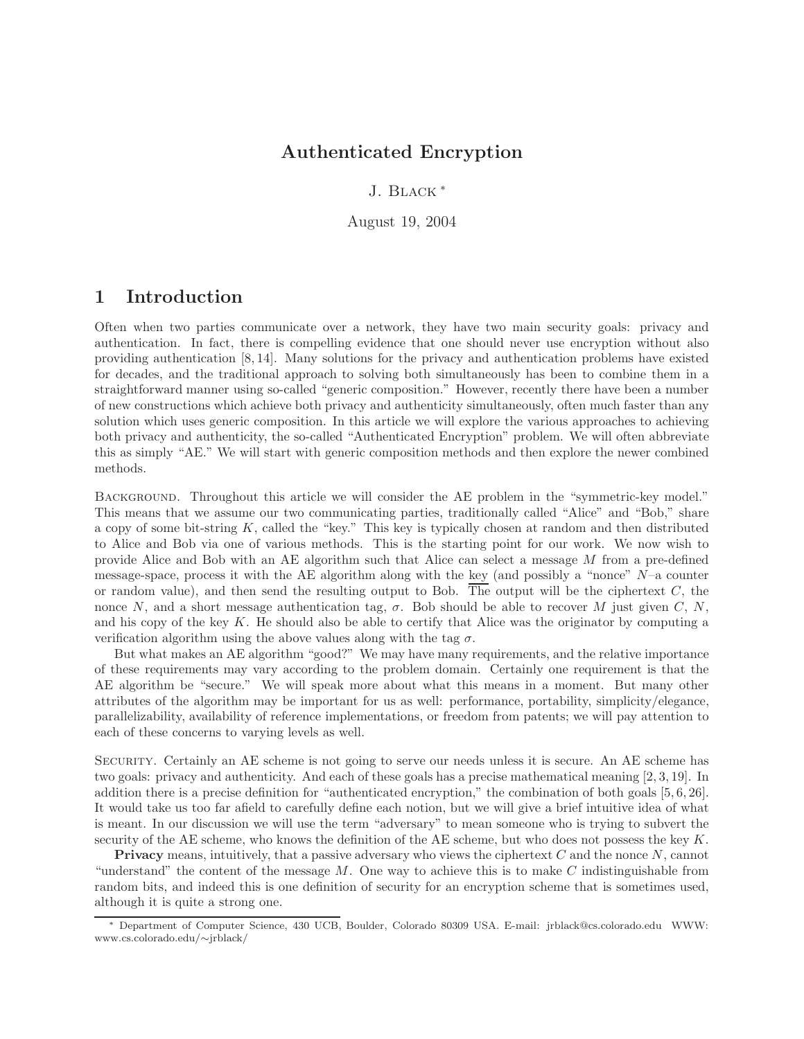## **Authenticated Encryption**

### J. Black <sup>∗</sup>

August 19, 2004

# **1 Introduction**

Often when two parties communicate over a network, they have two main security goals: privacy and authentication. In fact, there is compelling evidence that one should never use encryption without also providing authentication [8, 14]. Many solutions for the privacy and authentication problems have existed for decades, and the traditional approach to solving both simultaneously has been to combine them in a straightforward manner using so-called "generic composition." However, recently there have been a number of new constructions which achieve both privacy and authenticity simultaneously, often much faster than any solution which uses generic composition. In this article we will explore the various approaches to achieving both privacy and authenticity, the so-called "Authenticated Encryption" problem. We will often abbreviate this as simply "AE." We will start with generic composition methods and then explore the newer combined methods.

Background. Throughout this article we will consider the AE problem in the "symmetric-key model." This means that we assume our two communicating parties, traditionally called "Alice" and "Bob," share a copy of some bit-string  $K$ , called the "key." This key is typically chosen at random and then distributed to Alice and Bob via one of various methods. This is the starting point for our work. We now wish to provide Alice and Bob with an AE algorithm such that Alice can select a message M from a pre-defined message-space, process it with the AE algorithm along with the key (and possibly a "nonce"  $N$ –a counter or random value), and then send the resulting output to Bob. The output will be the ciphertext  $C$ , the nonce N, and a short message authentication tag,  $\sigma$ . Bob should be able to recover M just given C, N, and his copy of the key K. He should also be able to certify that Alice was the originator by computing a verification algorithm using the above values along with the tag  $\sigma$ .

But what makes an AE algorithm "good?" We may have many requirements, and the relative importance of these requirements may vary according to the problem domain. Certainly one requirement is that the AE algorithm be "secure." We will speak more about what this means in a moment. But many other attributes of the algorithm may be important for us as well: performance, portability, simplicity/elegance, parallelizability, availability of reference implementations, or freedom from patents; we will pay attention to each of these concerns to varying levels as well.

SECURITY. Certainly an AE scheme is not going to serve our needs unless it is secure. An AE scheme has two goals: privacy and authenticity. And each of these goals has a precise mathematical meaning [2, 3, 19]. In addition there is a precise definition for "authenticated encryption," the combination of both goals [5, 6, 26]. It would take us too far afield to carefully define each notion, but we will give a brief intuitive idea of what is meant. In our discussion we will use the term "adversary" to mean someone who is trying to subvert the security of the AE scheme, who knows the definition of the AE scheme, but who does not possess the key  $K$ .

**Privacy** means, intuitively, that a passive adversary who views the ciphertext C and the nonce N, cannot "understand" the content of the message  $M$ . One way to achieve this is to make  $C$  indistinguishable from random bits, and indeed this is one definition of security for an encryption scheme that is sometimes used, although it is quite a strong one.

<sup>∗</sup> Department of Computer Science, 430 UCB, Boulder, Colorado 80309 USA. E-mail: jrblack@cs.colorado.edu WWW: www.cs.colorado.edu/∼jrblack/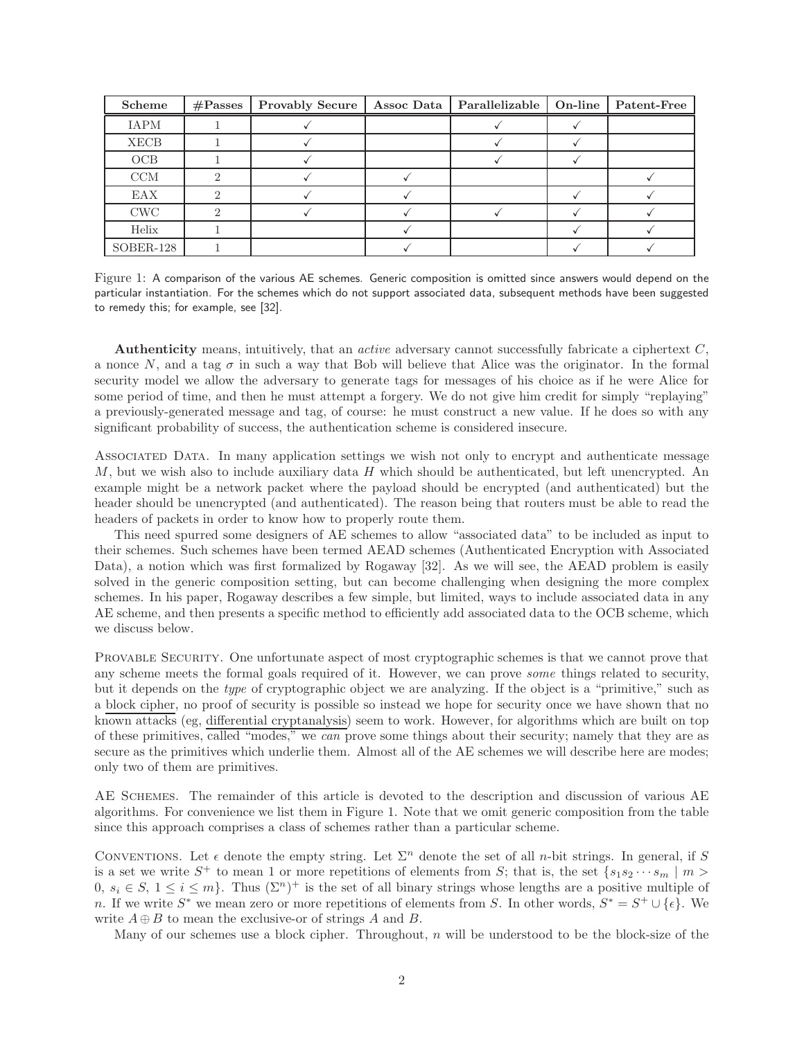| Scheme      | $\#\text{Passes}$ | Provably Secure | Assoc Data   Parallelizable | On-line | Patent-Free |
|-------------|-------------------|-----------------|-----------------------------|---------|-------------|
| <b>IAPM</b> |                   |                 |                             |         |             |
| <b>XECB</b> |                   |                 |                             |         |             |
| OCB         |                   |                 |                             |         |             |
| CCM         |                   |                 |                             |         |             |
| EAX         |                   |                 |                             |         |             |
| <b>CWC</b>  |                   |                 |                             |         |             |
| Helix       |                   |                 |                             |         |             |
| SOBER-128   |                   |                 |                             |         |             |

Figure 1: A comparison of the various AE schemes. Generic composition is omitted since answers would depend on the particular instantiation. For the schemes which do not support associated data, subsequent methods have been suggested to remedy this; for example, see [32].

**Authenticity** means, intuitively, that an *active* adversary cannot successfully fabricate a ciphertext C, a nonce N, and a tag  $\sigma$  in such a way that Bob will believe that Alice was the originator. In the formal security model we allow the adversary to generate tags for messages of his choice as if he were Alice for some period of time, and then he must attempt a forgery. We do not give him credit for simply "replaying" a previously-generated message and tag, of course: he must construct a new value. If he does so with any significant probability of success, the authentication scheme is considered insecure.

Associated Data. In many application settings we wish not only to encrypt and authenticate message  $M$ , but we wish also to include auxiliary data  $H$  which should be authenticated, but left unencrypted. An example might be a network packet where the payload should be encrypted (and authenticated) but the header should be unencrypted (and authenticated). The reason being that routers must be able to read the headers of packets in order to know how to properly route them.

This need spurred some designers of AE schemes to allow "associated data" to be included as input to their schemes. Such schemes have been termed AEAD schemes (Authenticated Encryption with Associated Data), a notion which was first formalized by Rogaway [32]. As we will see, the AEAD problem is easily solved in the generic composition setting, but can become challenging when designing the more complex schemes. In his paper, Rogaway describes a few simple, but limited, ways to include associated data in any AE scheme, and then presents a specific method to efficiently add associated data to the OCB scheme, which we discuss below.

PROVABLE SECURITY. One unfortunate aspect of most cryptographic schemes is that we cannot prove that any scheme meets the formal goals required of it. However, we can prove *some* things related to security, but it depends on the *type* of cryptographic object we are analyzing. If the object is a "primitive," such as a block cipher, no proof of security is possible so instead we hope for security once we have shown that no known attacks (eg, differential cryptanalysis) seem to work. However, for algorithms which are built on top of these primitives, called "modes," we *can* prove some things about their security; namely that they are as secure as the primitives which underlie them. Almost all of the AE schemes we will describe here are modes; only two of them are primitives.

AE Schemes. The remainder of this article is devoted to the description and discussion of various AE algorithms. For convenience we list them in Figure 1. Note that we omit generic composition from the table since this approach comprises a class of schemes rather than a particular scheme.

CONVENTIONS. Let  $\epsilon$  denote the empty string. Let  $\Sigma^n$  denote the set of all n-bit strings. In general, if S is a set we write  $S^+$  to mean 1 or more repetitions of elements from S; that is, the set  $\{s_1s_2\cdots s_m\mid m\geq 1\}$  $0, s_i \in S, 1 \leq i \leq m$ . Thus  $(\Sigma^n)^+$  is the set of all binary strings whose lengths are a positive multiple of n. If we write  $S^*$  we mean zero or more repetitions of elements from S. In other words,  $S^* = S^+ \cup \{\epsilon\}$ . We write  $A \oplus B$  to mean the exclusive-or of strings A and B.

Many of our schemes use a block cipher. Throughout, n will be understood to be the block-size of the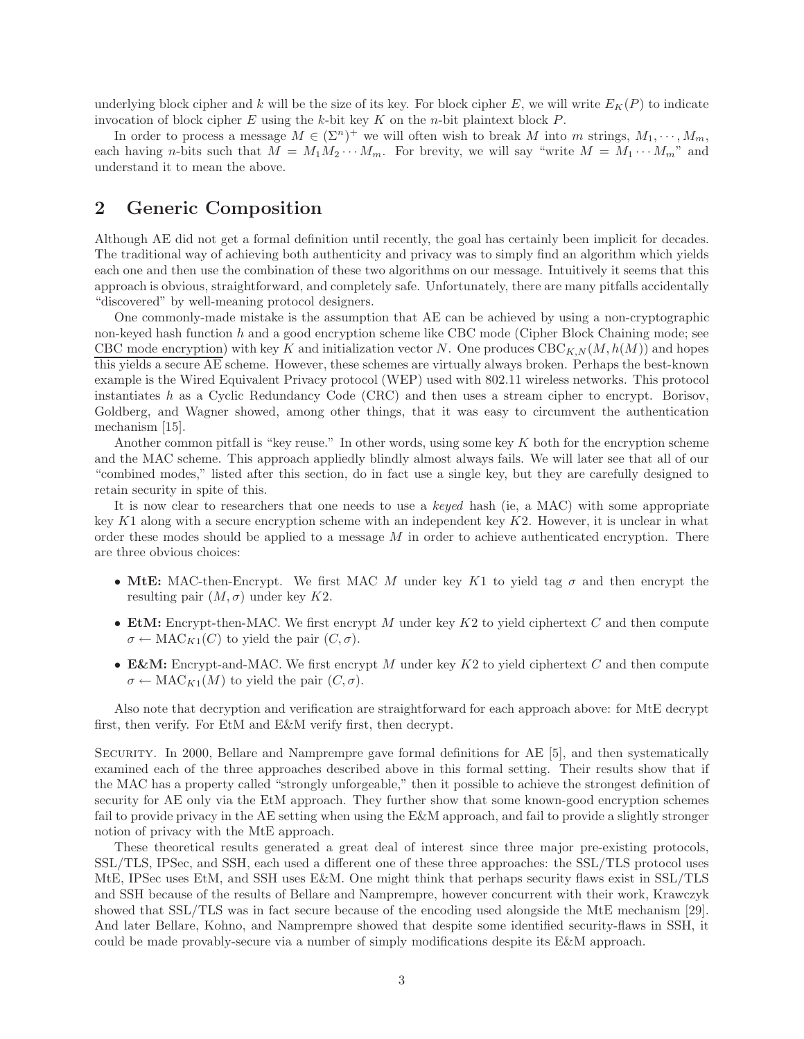underlying block cipher and k will be the size of its key. For block cipher E, we will write  $E_K(P)$  to indicate invocation of block cipher E using the k-bit key K on the n-bit plaintext block  $P$ .

In order to process a message  $M \in (\Sigma^n)^+$  we will often wish to break M into m strings,  $M_1, \dots, M_m$ , each having n-bits such that  $M = M_1 M_2 \cdots M_m$ . For brevity, we will say "write  $M = M_1 \cdots M_m$ " and understand it to mean the above.

## **2 Generic Composition**

Although AE did not get a formal definition until recently, the goal has certainly been implicit for decades. The traditional way of achieving both authenticity and privacy was to simply find an algorithm which yields each one and then use the combination of these two algorithms on our message. Intuitively it seems that this approach is obvious, straightforward, and completely safe. Unfortunately, there are many pitfalls accidentally "discovered" by well-meaning protocol designers.

One commonly-made mistake is the assumption that AE can be achieved by using a non-cryptographic non-keyed hash function h and a good encryption scheme like CBC mode (Cipher Block Chaining mode; see CBC mode encryption) with key K and initialization vector N. One produces  $\text{CBC}_{K,N}(M,h(M))$  and hopes this yields a secure AE scheme. However, these schemes are virtually always broken. Perhaps the best-known example is the Wired Equivalent Privacy protocol (WEP) used with 802.11 wireless networks. This protocol instantiates  $h$  as a Cyclic Redundancy Code (CRC) and then uses a stream cipher to encrypt. Borisov, Goldberg, and Wagner showed, among other things, that it was easy to circumvent the authentication mechanism [15].

Another common pitfall is "key reuse." In other words, using some key  $K$  both for the encryption scheme and the MAC scheme. This approach appliedly blindly almost always fails. We will later see that all of our "combined modes," listed after this section, do in fact use a single key, but they are carefully designed to retain security in spite of this.

It is now clear to researchers that one needs to use a *keyed* hash (ie, a MAC) with some appropriate key K1 along with a secure encryption scheme with an independent key K2. However, it is unclear in what order these modes should be applied to a message  $M$  in order to achieve authenticated encryption. There are three obvious choices:

- **MtE:** MAC-then-Encrypt. We first MAC M under key K1 to yield tag  $\sigma$  and then encrypt the resulting pair  $(M, \sigma)$  under key K2.
- **EtM:** Encrypt-then-MAC. We first encrypt M under key  $K2$  to yield ciphertext C and then compute  $\sigma \leftarrow \text{MAC}_{K1}(C)$  to yield the pair  $(C, \sigma)$ .
- **E&M:** Encrypt-and-MAC. We first encrypt M under key K2 to yield ciphertext C and then compute  $\sigma \leftarrow \text{MAC}_{K1}(M)$  to yield the pair  $(C, \sigma)$ .

Also note that decryption and verification are straightforward for each approach above: for MtE decrypt first, then verify. For EtM and E&M verify first, then decrypt.

SECURITY. In 2000, Bellare and Namprempre gave formal definitions for AE [5], and then systematically examined each of the three approaches described above in this formal setting. Their results show that if the MAC has a property called "strongly unforgeable," then it possible to achieve the strongest definition of security for AE only via the EtM approach. They further show that some known-good encryption schemes fail to provide privacy in the AE setting when using the E&M approach, and fail to provide a slightly stronger notion of privacy with the MtE approach.

These theoretical results generated a great deal of interest since three major pre-existing protocols, SSL/TLS, IPSec, and SSH, each used a different one of these three approaches: the SSL/TLS protocol uses MtE, IPSec uses EtM, and SSH uses E&M. One might think that perhaps security flaws exist in SSL/TLS and SSH because of the results of Bellare and Namprempre, however concurrent with their work, Krawczyk showed that SSL/TLS was in fact secure because of the encoding used alongside the MtE mechanism [29]. And later Bellare, Kohno, and Namprempre showed that despite some identified security-flaws in SSH, it could be made provably-secure via a number of simply modifications despite its E&M approach.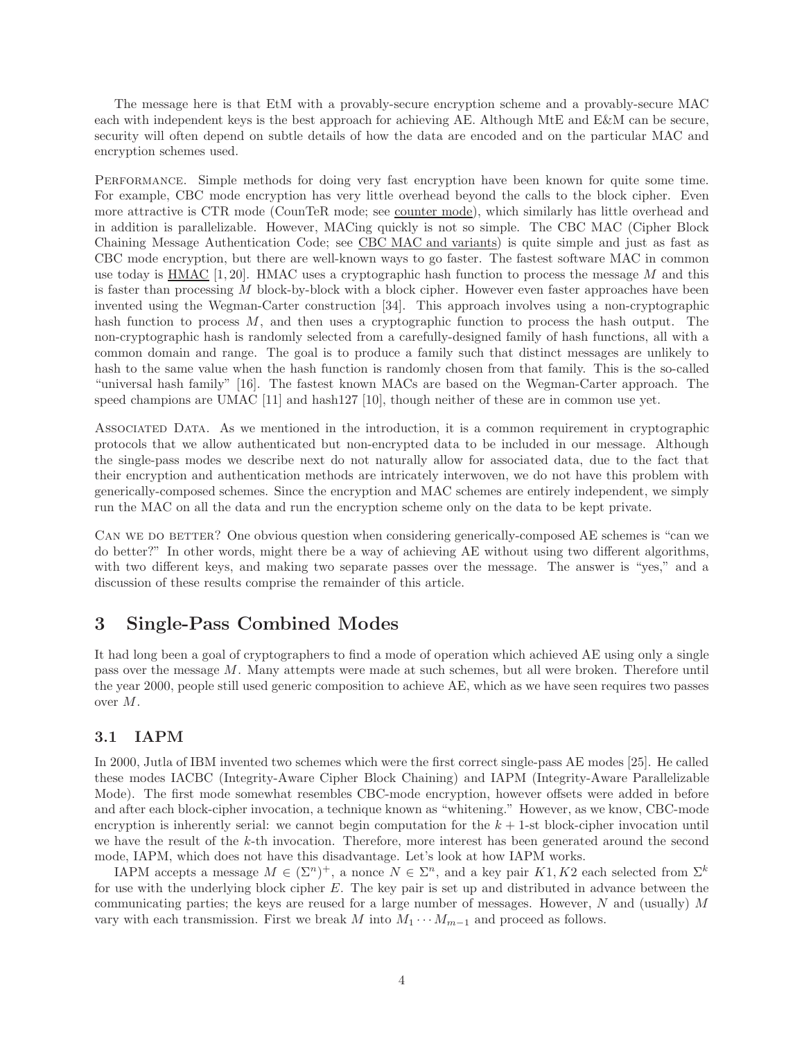The message here is that EtM with a provably-secure encryption scheme and a provably-secure MAC each with independent keys is the best approach for achieving AE. Although MtE and E&M can be secure, security will often depend on subtle details of how the data are encoded and on the particular MAC and encryption schemes used.

PERFORMANCE. Simple methods for doing very fast encryption have been known for quite some time. For example, CBC mode encryption has very little overhead beyond the calls to the block cipher. Even more attractive is CTR mode (CounTeR mode; see <u>counter mode</u>), which similarly has little overhead and in addition is parallelizable. However, MACing quickly is not so simple. The CBC MAC (Cipher Block Chaining Message Authentication Code; see CBC MAC and variants) is quite simple and just as fast as CBC mode encryption, but there are well-known ways to go faster. The fastest software MAC in common use today is  $HMAC$  [1, 20]. HMAC uses a cryptographic hash function to process the message M and this is faster than processing M block-by-block with a block cipher. However even faster approaches have been invented using the Wegman-Carter construction [34]. This approach involves using a non-cryptographic hash function to process M, and then uses a cryptographic function to process the hash output. The non-cryptographic hash is randomly selected from a carefully-designed family of hash functions, all with a common domain and range. The goal is to produce a family such that distinct messages are unlikely to hash to the same value when the hash function is randomly chosen from that family. This is the so-called "universal hash family" [16]. The fastest known MACs are based on the Wegman-Carter approach. The speed champions are UMAC [11] and hash127 [10], though neither of these are in common use yet.

Associated Data. As we mentioned in the introduction, it is a common requirement in cryptographic protocols that we allow authenticated but non-encrypted data to be included in our message. Although the single-pass modes we describe next do not naturally allow for associated data, due to the fact that their encryption and authentication methods are intricately interwoven, we do not have this problem with generically-composed schemes. Since the encryption and MAC schemes are entirely independent, we simply run the MAC on all the data and run the encryption scheme only on the data to be kept private.

CAN WE DO BETTER? One obvious question when considering generically-composed AE schemes is "can we do better?" In other words, might there be a way of achieving AE without using two different algorithms, with two different keys, and making two separate passes over the message. The answer is "yes," and a discussion of these results comprise the remainder of this article.

# **3 Single-Pass Combined Modes**

It had long been a goal of cryptographers to find a mode of operation which achieved AE using only a single pass over the message M. Many attempts were made at such schemes, but all were broken. Therefore until the year 2000, people still used generic composition to achieve AE, which as we have seen requires two passes over M.

### **3.1 IAPM**

In 2000, Jutla of IBM invented two schemes which were the first correct single-pass AE modes [25]. He called these modes IACBC (Integrity-Aware Cipher Block Chaining) and IAPM (Integrity-Aware Parallelizable Mode). The first mode somewhat resembles CBC-mode encryption, however offsets were added in before and after each block-cipher invocation, a technique known as "whitening." However, as we know, CBC-mode encryption is inherently serial: we cannot begin computation for the  $k + 1$ -st block-cipher invocation until we have the result of the k-th invocation. Therefore, more interest has been generated around the second mode, IAPM, which does not have this disadvantage. Let's look at how IAPM works.

IAPM accepts a message  $M \in (\Sigma^n)^+$ , a nonce  $N \in \Sigma^n$ , and a key pair K1, K2 each selected from  $\Sigma^k$ for use with the underlying block cipher  $E$ . The key pair is set up and distributed in advance between the communicating parties; the keys are reused for a large number of messages. However,  $N$  and (usually)  $M$ vary with each transmission. First we break M into  $M_1 \cdots M_{m-1}$  and proceed as follows.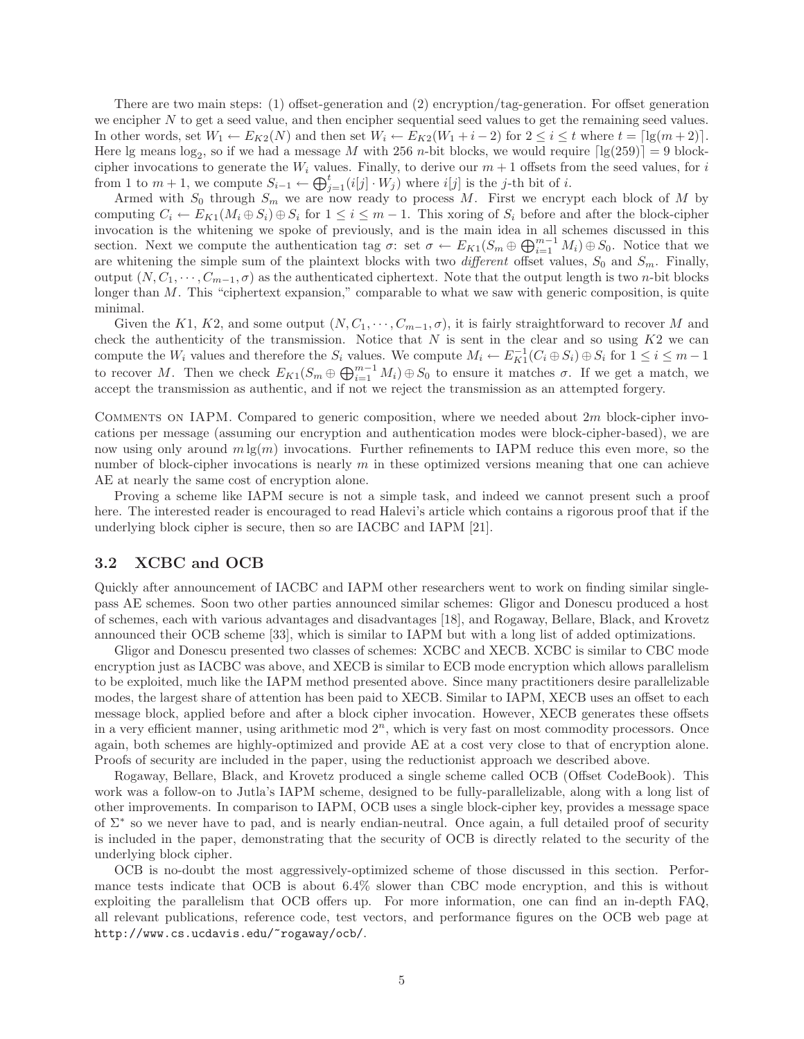There are two main steps: (1) offset-generation and (2) encryption/tag-generation. For offset generation we encipher  $N$  to get a seed value, and then encipher sequential seed values to get the remaining seed values. In other words, set  $W_1 \leftarrow E_{K2}(N)$  and then set  $W_i \leftarrow E_{K2}(W_1 + i - 2)$  for  $2 \le i \le t$  where  $t = \lceil \lg(m+2) \rceil$ . Here lg means  $log_2$ , so if we had a message M with 256 n-bit blocks, we would require  $\lceil \lg(259) \rceil = 9$  blockcipher invocations to generate the  $W_i$  values. Finally, to derive our  $m + 1$  offsets from the seed values, for i from 1 to  $m + 1$ , we compute  $S_{i-1} \leftarrow \bigoplus_{j=1}^{t} (i[j] \cdot W_j)$  where  $i[j]$  is the j-th bit of i.

Armed with  $S_0$  through  $S_m$  we are now ready to process M. First we encrypt each block of M by computing  $C_i \leftarrow E_{K1}(M_i \oplus S_i) \oplus S_i$  for  $1 \leq i \leq m-1$ . This xoring of  $S_i$  before and after the block-cipher invocation is the whitening we spoke of previously, and is the main idea in all schemes discussed in this section. Next we compute the authentication tag  $\sigma:$  set  $\sigma \leftarrow E_{K1}(S_m \oplus \bigoplus_{i=1}^{m-1} M_i) \oplus S_0$ . Notice that we are whitening the simple sum of the plaintext blocks with two *different* offset values,  $S_0$  and  $S_m$ . Finally, output  $(N, C_1, \dots, C_{m-1}, \sigma)$  as the authenticated ciphertext. Note that the output length is two n-bit blocks longer than M. This "ciphertext expansion," comparable to what we saw with generic composition, is quite minimal.

Given the K1, K2, and some output  $(N, C_1, \dots, C_{m-1}, \sigma)$ , it is fairly straightforward to recover M and check the authenticity of the transmission. Notice that  $N$  is sent in the clear and so using  $K2$  we can compute the  $W_i$  values and therefore the  $S_i$  values. We compute  $M_i \leftarrow E_{K1}^{-1}(C_i \oplus S_i) \oplus S_i$  for  $1 \le i \le m-1$ to recover M. Then we check  $E_{K1}(S_m \oplus \bigoplus_{i=1}^{m-1} M_i) \oplus S_0$  to ensure it matches  $\sigma$ . If we get a match, we accept the transmission as authentic, and if not we reject the transmission as an attempted forgery.

COMMENTS ON IAPM. Compared to generic composition, where we needed about  $2m$  block-cipher invocations per message (assuming our encryption and authentication modes were block-cipher-based), we are now using only around  $m \lg(m)$  invocations. Further refinements to IAPM reduce this even more, so the number of block-cipher invocations is nearly m in these optimized versions meaning that one can achieve AE at nearly the same cost of encryption alone.

Proving a scheme like IAPM secure is not a simple task, and indeed we cannot present such a proof here. The interested reader is encouraged to read Halevi's article which contains a rigorous proof that if the underlying block cipher is secure, then so are IACBC and IAPM [21].

### **3.2 XCBC and OCB**

Quickly after announcement of IACBC and IAPM other researchers went to work on finding similar singlepass AE schemes. Soon two other parties announced similar schemes: Gligor and Donescu produced a host of schemes, each with various advantages and disadvantages [18], and Rogaway, Bellare, Black, and Krovetz announced their OCB scheme [33], which is similar to IAPM but with a long list of added optimizations.

Gligor and Donescu presented two classes of schemes: XCBC and XECB. XCBC is similar to CBC mode encryption just as IACBC was above, and XECB is similar to ECB mode encryption which allows parallelism to be exploited, much like the IAPM method presented above. Since many practitioners desire parallelizable modes, the largest share of attention has been paid to XECB. Similar to IAPM, XECB uses an offset to each message block, applied before and after a block cipher invocation. However, XECB generates these offsets in a very efficient manner, using arithmetic mod  $2<sup>n</sup>$ , which is very fast on most commodity processors. Once again, both schemes are highly-optimized and provide AE at a cost very close to that of encryption alone. Proofs of security are included in the paper, using the reductionist approach we described above.

Rogaway, Bellare, Black, and Krovetz produced a single scheme called OCB (Offset CodeBook). This work was a follow-on to Jutla's IAPM scheme, designed to be fully-parallelizable, along with a long list of other improvements. In comparison to IAPM, OCB uses a single block-cipher key, provides a message space of  $\Sigma^*$  so we never have to pad, and is nearly endian-neutral. Once again, a full detailed proof of security is included in the paper, demonstrating that the security of OCB is directly related to the security of the underlying block cipher.

OCB is no-doubt the most aggressively-optimized scheme of those discussed in this section. Performance tests indicate that OCB is about 6.4% slower than CBC mode encryption, and this is without exploiting the parallelism that OCB offers up. For more information, one can find an in-depth FAQ, all relevant publications, reference code, test vectors, and performance figures on the OCB web page at http://www.cs.ucdavis.edu/~rogaway/ocb/.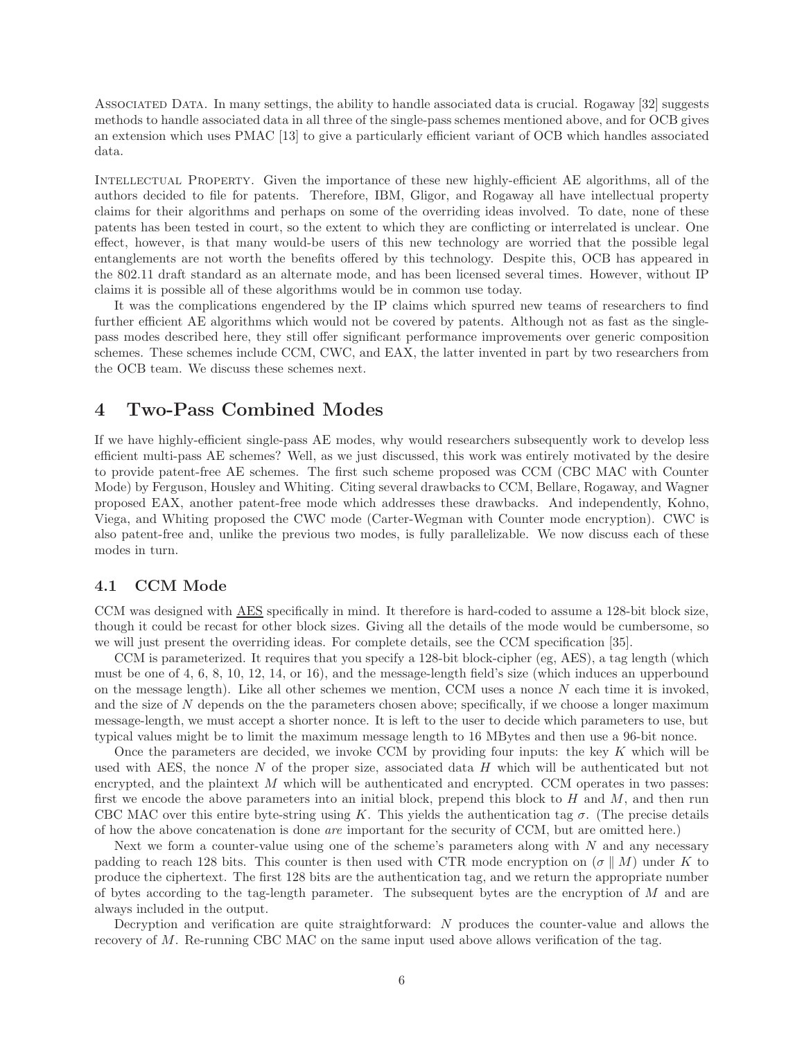Associated Data. In many settings, the ability to handle associated data is crucial. Rogaway [32] suggests methods to handle associated data in all three of the single-pass schemes mentioned above, and for OCB gives an extension which uses PMAC [13] to give a particularly efficient variant of OCB which handles associated data.

Intellectual Property. Given the importance of these new highly-efficient AE algorithms, all of the authors decided to file for patents. Therefore, IBM, Gligor, and Rogaway all have intellectual property claims for their algorithms and perhaps on some of the overriding ideas involved. To date, none of these patents has been tested in court, so the extent to which they are conflicting or interrelated is unclear. One effect, however, is that many would-be users of this new technology are worried that the possible legal entanglements are not worth the benefits offered by this technology. Despite this, OCB has appeared in the 802.11 draft standard as an alternate mode, and has been licensed several times. However, without IP claims it is possible all of these algorithms would be in common use today.

It was the complications engendered by the IP claims which spurred new teams of researchers to find further efficient AE algorithms which would not be covered by patents. Although not as fast as the singlepass modes described here, they still offer significant performance improvements over generic composition schemes. These schemes include CCM, CWC, and EAX, the latter invented in part by two researchers from the OCB team. We discuss these schemes next.

## **4 Two-Pass Combined Modes**

If we have highly-efficient single-pass AE modes, why would researchers subsequently work to develop less efficient multi-pass AE schemes? Well, as we just discussed, this work was entirely motivated by the desire to provide patent-free AE schemes. The first such scheme proposed was CCM (CBC MAC with Counter Mode) by Ferguson, Housley and Whiting. Citing several drawbacks to CCM, Bellare, Rogaway, and Wagner proposed EAX, another patent-free mode which addresses these drawbacks. And independently, Kohno, Viega, and Whiting proposed the CWC mode (Carter-Wegman with Counter mode encryption). CWC is also patent-free and, unlike the previous two modes, is fully parallelizable. We now discuss each of these modes in turn.

#### **4.1 CCM Mode**

CCM was designed with AES specifically in mind. It therefore is hard-coded to assume a 128-bit block size, though it could be recast for other block sizes. Giving all the details of the mode would be cumbersome, so we will just present the overriding ideas. For complete details, see the CCM specification [35].

CCM is parameterized. It requires that you specify a 128-bit block-cipher (eg, AES), a tag length (which must be one of 4, 6, 8, 10, 12, 14, or 16), and the message-length field's size (which induces an upperbound on the message length). Like all other schemes we mention, CCM uses a nonce  $N$  each time it is invoked, and the size of N depends on the the parameters chosen above; specifically, if we choose a longer maximum message-length, we must accept a shorter nonce. It is left to the user to decide which parameters to use, but typical values might be to limit the maximum message length to 16 MBytes and then use a 96-bit nonce.

Once the parameters are decided, we invoke CCM by providing four inputs: the key  $K$  which will be used with AES, the nonce N of the proper size, associated data H which will be authenticated but not encrypted, and the plaintext  $M$  which will be authenticated and encrypted. CCM operates in two passes: first we encode the above parameters into an initial block, prepend this block to  $H$  and  $M$ , and then run CBC MAC over this entire byte-string using K. This yields the authentication tag  $\sigma$ . (The precise details of how the above concatenation is done *are* important for the security of CCM, but are omitted here.)

Next we form a counter-value using one of the scheme's parameters along with  $N$  and any necessary padding to reach 128 bits. This counter is then used with CTR mode encryption on ( $\sigma \parallel M$ ) under K to produce the ciphertext. The first 128 bits are the authentication tag, and we return the appropriate number of bytes according to the tag-length parameter. The subsequent bytes are the encryption of M and are always included in the output.

Decryption and verification are quite straightforward: N produces the counter-value and allows the recovery of  $M$ . Re-running CBC MAC on the same input used above allows verification of the tag.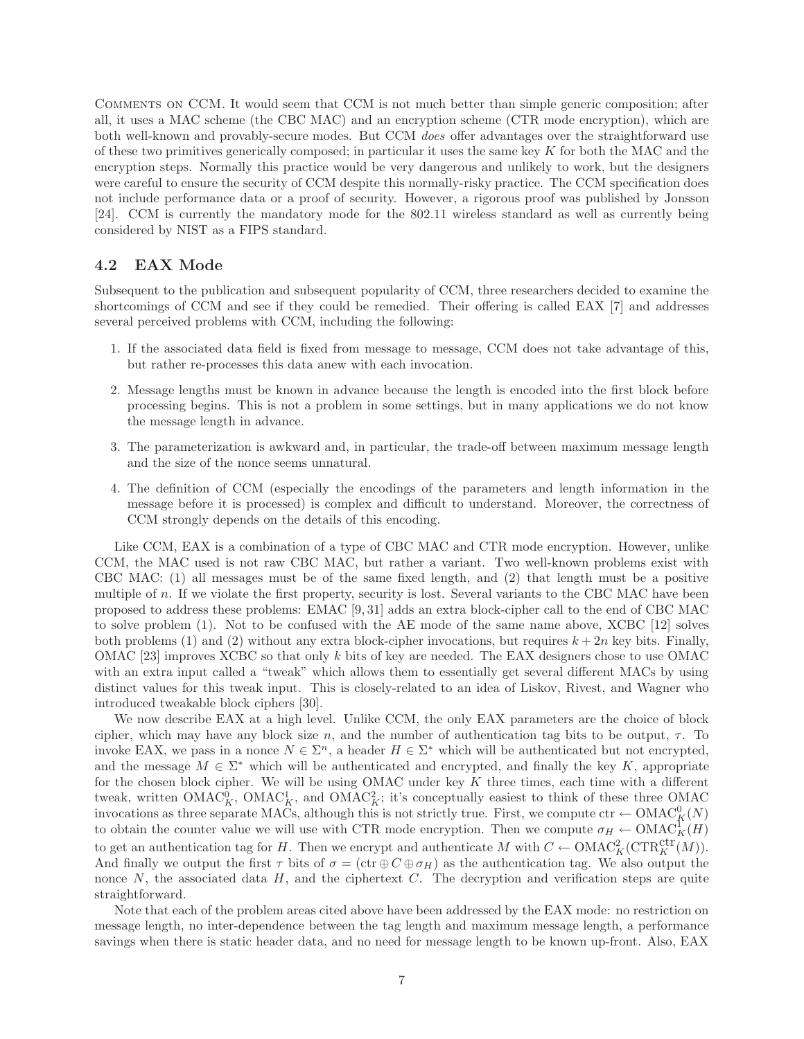Comments on CCM. It would seem that CCM is not much better than simple generic composition; after all, it uses a MAC scheme (the CBC MAC) and an encryption scheme (CTR mode encryption), which are both well-known and provably-secure modes. But CCM *does* offer advantages over the straightforward use of these two primitives generically composed; in particular it uses the same key  $K$  for both the MAC and the encryption steps. Normally this practice would be very dangerous and unlikely to work, but the designers were careful to ensure the security of CCM despite this normally-risky practice. The CCM specification does not include performance data or a proof of security. However, a rigorous proof was published by Jonsson [24]. CCM is currently the mandatory mode for the 802.11 wireless standard as well as currently being considered by NIST as a FIPS standard.

#### **4.2 EAX Mode**

Subsequent to the publication and subsequent popularity of CCM, three researchers decided to examine the shortcomings of CCM and see if they could be remedied. Their offering is called EAX [7] and addresses several perceived problems with CCM, including the following:

- 1. If the associated data field is fixed from message to message, CCM does not take advantage of this, but rather re-processes this data anew with each invocation.
- 2. Message lengths must be known in advance because the length is encoded into the first block before processing begins. This is not a problem in some settings, but in many applications we do not know the message length in advance.
- 3. The parameterization is awkward and, in particular, the trade-off between maximum message length and the size of the nonce seems unnatural.
- 4. The definition of CCM (especially the encodings of the parameters and length information in the message before it is processed) is complex and difficult to understand. Moreover, the correctness of CCM strongly depends on the details of this encoding.

Like CCM, EAX is a combination of a type of CBC MAC and CTR mode encryption. However, unlike CCM, the MAC used is not raw CBC MAC, but rather a variant. Two well-known problems exist with CBC MAC: (1) all messages must be of the same fixed length, and (2) that length must be a positive multiple of  $n$ . If we violate the first property, security is lost. Several variants to the CBC MAC have been proposed to address these problems: EMAC [9, 31] adds an extra block-cipher call to the end of CBC MAC to solve problem (1). Not to be confused with the AE mode of the same name above, XCBC [12] solves both problems (1) and (2) without any extra block-cipher invocations, but requires  $k + 2n$  key bits. Finally, OMAC [23] improves XCBC so that only k bits of key are needed. The EAX designers chose to use OMAC with an extra input called a "tweak" which allows them to essentially get several different MACs by using distinct values for this tweak input. This is closely-related to an idea of Liskov, Rivest, and Wagner who introduced tweakable block ciphers [30].

We now describe EAX at a high level. Unlike CCM, the only EAX parameters are the choice of block cipher, which may have any block size n, and the number of authentication tag bits to be output,  $\tau$ . To invoke EAX, we pass in a nonce  $N \in \Sigma^n$ , a header  $H \in \Sigma^*$  which will be authenticated but not encrypted, and the message  $M \in \Sigma^*$  which will be authenticated and encrypted, and finally the key K, appropriate for the chosen block cipher. We will be using OMAC under key  $K$  three times, each time with a different tweak, written  $OMAC_K^0$ ,  $OMAC_K^1$ , and  $OMAC_K^2$ ; it's conceptually easiest to think of these three OMAC invocations as three separate MACs, although this is not strictly true. First, we compute  $\text{ctr} \leftarrow \text{OMAC}_K^0(N)$ to obtain the counter value we will use with CTR mode encryption. Then we compute  $\sigma_H \leftarrow \text{OMAC}_K^1(H)$ to get an authentication tag for H. Then we encrypt and authenticate M with  $C \leftarrow \text{OMAC}_K^2(\text{CTR}_K^{\text{ctr}}(M)).$ And finally we output the first  $\tau$  bits of  $\sigma = (\text{ctr } \oplus C \oplus \sigma_H)$  as the authentication tag. We also output the nonce  $N$ , the associated data  $H$ , and the ciphertext  $C$ . The decryption and verification steps are quite straightforward.

Note that each of the problem areas cited above have been addressed by the EAX mode: no restriction on message length, no inter-dependence between the tag length and maximum message length, a performance savings when there is static header data, and no need for message length to be known up-front. Also, EAX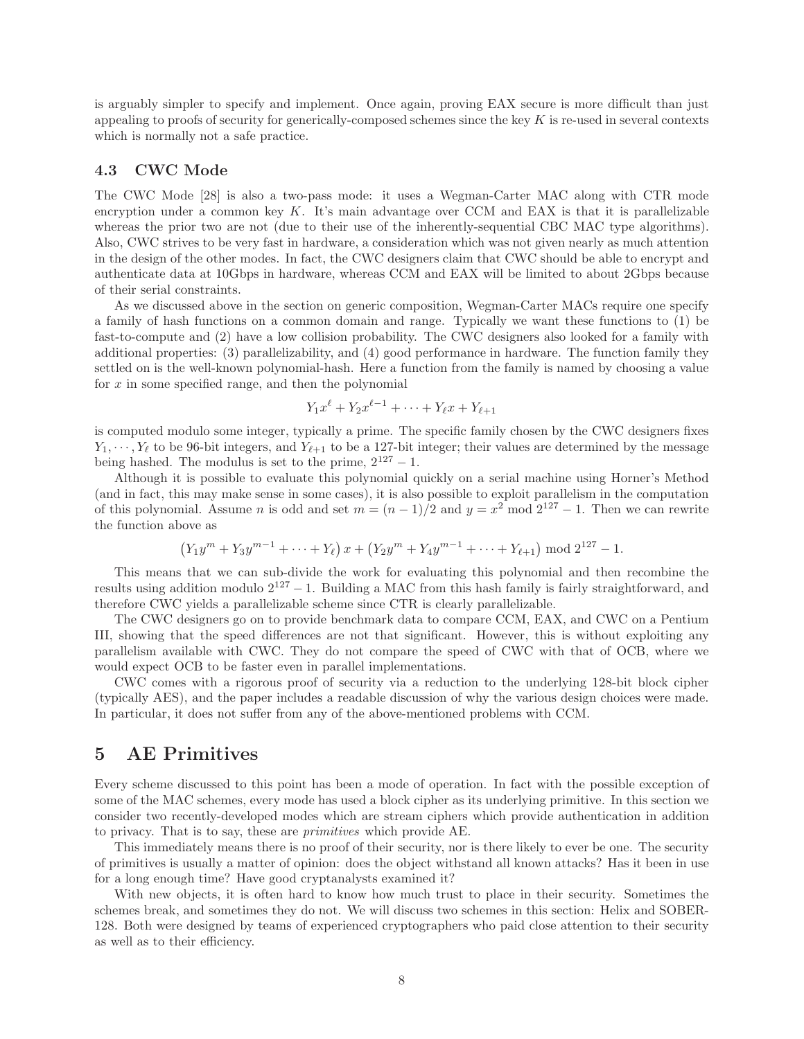is arguably simpler to specify and implement. Once again, proving EAX secure is more difficult than just appealing to proofs of security for generically-composed schemes since the key  $K$  is re-used in several contexts which is normally not a safe practice.

#### **4.3 CWC Mode**

The CWC Mode [28] is also a two-pass mode: it uses a Wegman-Carter MAC along with CTR mode encryption under a common key  $K$ . It's main advantage over CCM and EAX is that it is parallelizable whereas the prior two are not (due to their use of the inherently-sequential CBC MAC type algorithms). Also, CWC strives to be very fast in hardware, a consideration which was not given nearly as much attention in the design of the other modes. In fact, the CWC designers claim that CWC should be able to encrypt and authenticate data at 10Gbps in hardware, whereas CCM and EAX will be limited to about 2Gbps because of their serial constraints.

As we discussed above in the section on generic composition, Wegman-Carter MACs require one specify a family of hash functions on a common domain and range. Typically we want these functions to (1) be fast-to-compute and (2) have a low collision probability. The CWC designers also looked for a family with additional properties: (3) parallelizability, and (4) good performance in hardware. The function family they settled on is the well-known polynomial-hash. Here a function from the family is named by choosing a value for  $x$  in some specified range, and then the polynomial

$$
Y_1 x^{\ell} + Y_2 x^{\ell-1} + \dots + Y_{\ell} x + Y_{\ell+1}
$$

is computed modulo some integer, typically a prime. The specific family chosen by the CWC designers fixes  $Y_1, \dots, Y_\ell$  to be 96-bit integers, and  $Y_{\ell+1}$  to be a 127-bit integer; their values are determined by the message being hashed. The modulus is set to the prime,  $2^{127} - 1$ .

Although it is possible to evaluate this polynomial quickly on a serial machine using Horner's Method (and in fact, this may make sense in some cases), it is also possible to exploit parallelism in the computation of this polynomial. Assume n is odd and set  $m = (n-1)/2$  and  $y = x^2 \mod 2^{127} - 1$ . Then we can rewrite the function above as

$$
(Y_1y^m + Y_3y^{m-1} + \dots + Y_\ell)x + (Y_2y^m + Y_4y^{m-1} + \dots + Y_{\ell+1}) \mod 2^{127} - 1.
$$

This means that we can sub-divide the work for evaluating this polynomial and then recombine the results using addition modulo  $2^{127} - 1$ . Building a MAC from this hash family is fairly straightforward, and therefore CWC yields a parallelizable scheme since CTR is clearly parallelizable.

The CWC designers go on to provide benchmark data to compare CCM, EAX, and CWC on a Pentium III, showing that the speed differences are not that significant. However, this is without exploiting any parallelism available with CWC. They do not compare the speed of CWC with that of OCB, where we would expect OCB to be faster even in parallel implementations.

CWC comes with a rigorous proof of security via a reduction to the underlying 128-bit block cipher (typically AES), and the paper includes a readable discussion of why the various design choices were made. In particular, it does not suffer from any of the above-mentioned problems with CCM.

## **5 AE Primitives**

Every scheme discussed to this point has been a mode of operation. In fact with the possible exception of some of the MAC schemes, every mode has used a block cipher as its underlying primitive. In this section we consider two recently-developed modes which are stream ciphers which provide authentication in addition to privacy. That is to say, these are *primitives* which provide AE.

This immediately means there is no proof of their security, nor is there likely to ever be one. The security of primitives is usually a matter of opinion: does the object withstand all known attacks? Has it been in use for a long enough time? Have good cryptanalysts examined it?

With new objects, it is often hard to know how much trust to place in their security. Sometimes the schemes break, and sometimes they do not. We will discuss two schemes in this section: Helix and SOBER-128. Both were designed by teams of experienced cryptographers who paid close attention to their security as well as to their efficiency.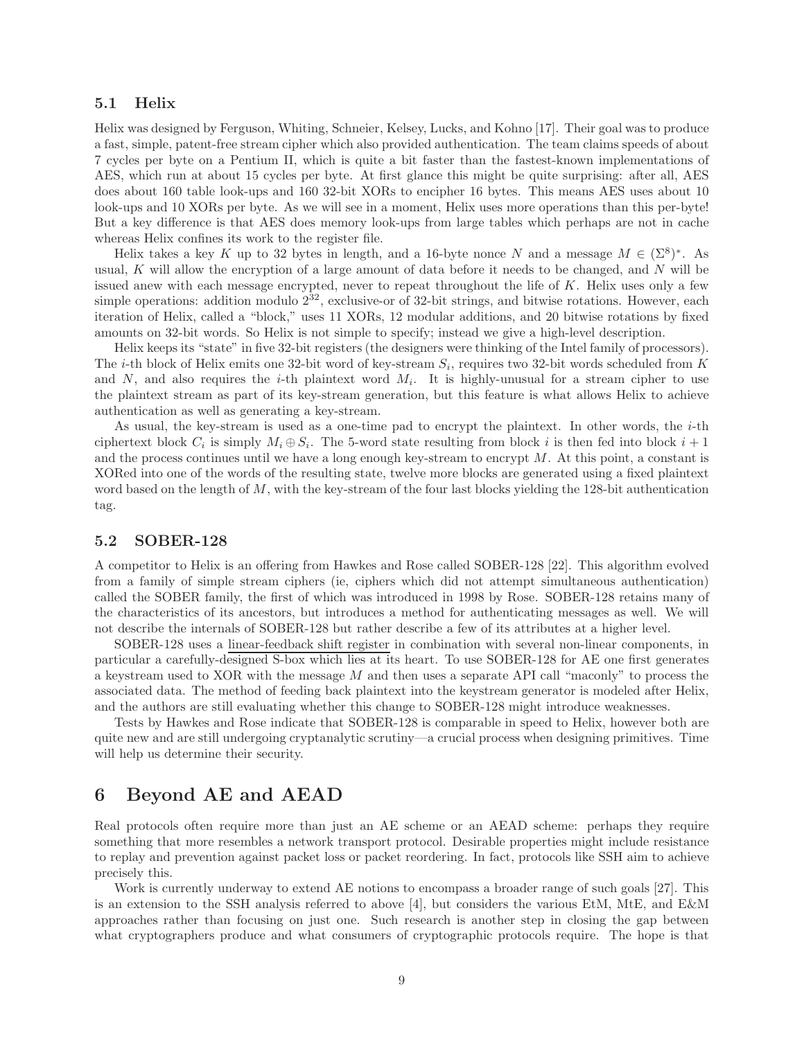#### **5.1 Helix**

Helix was designed by Ferguson, Whiting, Schneier, Kelsey, Lucks, and Kohno [17]. Their goal was to produce a fast, simple, patent-free stream cipher which also provided authentication. The team claims speeds of about 7 cycles per byte on a Pentium II, which is quite a bit faster than the fastest-known implementations of AES, which run at about 15 cycles per byte. At first glance this might be quite surprising: after all, AES does about 160 table look-ups and 160 32-bit XORs to encipher 16 bytes. This means AES uses about 10 look-ups and 10 XORs per byte. As we will see in a moment, Helix uses more operations than this per-byte! But a key difference is that AES does memory look-ups from large tables which perhaps are not in cache whereas Helix confines its work to the register file.

Helix takes a key K up to 32 bytes in length, and a 16-byte nonce N and a message  $M \in (\Sigma^8)^*$ . As usual, K will allow the encryption of a large amount of data before it needs to be changed, and N will be issued anew with each message encrypted, never to repeat throughout the life of K. Helix uses only a few simple operations: addition modulo  $2^{32}$ , exclusive-or of 32-bit strings, and bitwise rotations. However, each iteration of Helix, called a "block," uses 11 XORs, 12 modular additions, and 20 bitwise rotations by fixed amounts on 32-bit words. So Helix is not simple to specify; instead we give a high-level description.

Helix keeps its "state" in five 32-bit registers (the designers were thinking of the Intel family of processors). The *i*-th block of Helix emits one 32-bit word of key-stream  $S_i$ , requires two 32-bit words scheduled from K and N, and also requires the i-th plaintext word  $M_i$ . It is highly-unusual for a stream cipher to use the plaintext stream as part of its key-stream generation, but this feature is what allows Helix to achieve authentication as well as generating a key-stream.

As usual, the key-stream is used as a one-time pad to encrypt the plaintext. In other words, the  $i$ -th ciphertext block  $C_i$  is simply  $M_i \oplus S_i$ . The 5-word state resulting from block i is then fed into block  $i + 1$ and the process continues until we have a long enough key-stream to encrypt  $M$ . At this point, a constant is XORed into one of the words of the resulting state, twelve more blocks are generated using a fixed plaintext word based on the length of  $M$ , with the key-stream of the four last blocks yielding the 128-bit authentication tag.

#### **5.2 SOBER-128**

A competitor to Helix is an offering from Hawkes and Rose called SOBER-128 [22]. This algorithm evolved from a family of simple stream ciphers (ie, ciphers which did not attempt simultaneous authentication) called the SOBER family, the first of which was introduced in 1998 by Rose. SOBER-128 retains many of the characteristics of its ancestors, but introduces a method for authenticating messages as well. We will not describe the internals of SOBER-128 but rather describe a few of its attributes at a higher level.

SOBER-128 uses a linear-feedback shift register in combination with several non-linear components, in particular a carefully-designed S-box which lies at its heart. To use SOBER-128 for AE one first generates a keystream used to XOR with the message M and then uses a separate API call "maconly" to process the associated data. The method of feeding back plaintext into the keystream generator is modeled after Helix, and the authors are still evaluating whether this change to SOBER-128 might introduce weaknesses.

Tests by Hawkes and Rose indicate that SOBER-128 is comparable in speed to Helix, however both are quite new and are still undergoing cryptanalytic scrutiny—a crucial process when designing primitives. Time will help us determine their security.

## **6 Beyond AE and AEAD**

Real protocols often require more than just an AE scheme or an AEAD scheme: perhaps they require something that more resembles a network transport protocol. Desirable properties might include resistance to replay and prevention against packet loss or packet reordering. In fact, protocols like SSH aim to achieve precisely this.

Work is currently underway to extend AE notions to encompass a broader range of such goals [27]. This is an extension to the SSH analysis referred to above [4], but considers the various EtM, MtE, and E&M approaches rather than focusing on just one. Such research is another step in closing the gap between what cryptographers produce and what consumers of cryptographic protocols require. The hope is that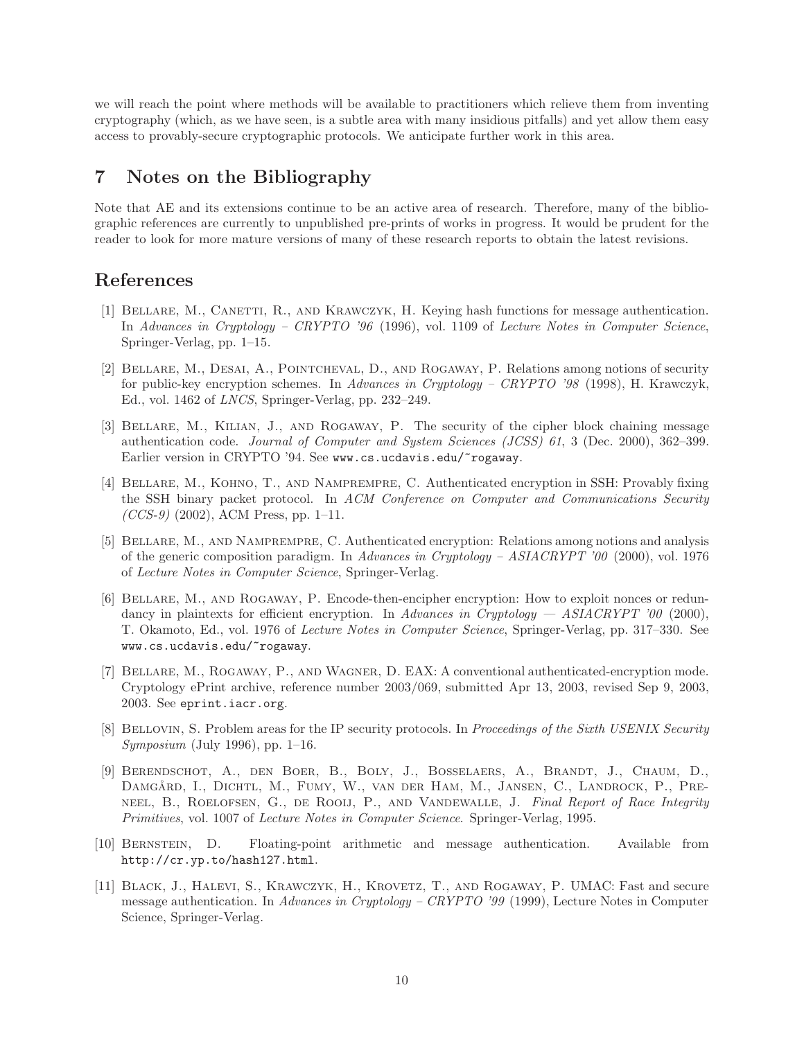we will reach the point where methods will be available to practitioners which relieve them from inventing cryptography (which, as we have seen, is a subtle area with many insidious pitfalls) and yet allow them easy access to provably-secure cryptographic protocols. We anticipate further work in this area.

# **7 Notes on the Bibliography**

Note that AE and its extensions continue to be an active area of research. Therefore, many of the bibliographic references are currently to unpublished pre-prints of works in progress. It would be prudent for the reader to look for more mature versions of many of these research reports to obtain the latest revisions.

# **References**

- [1] BELLARE, M., CANETTI, R., AND KRAWCZYK, H. Keying hash functions for message authentication. In *Advances in Cryptology – CRYPTO '96* (1996), vol. 1109 of *Lecture Notes in Computer Science*, Springer-Verlag, pp. 1–15.
- [2] BELLARE, M., DESAI, A., POINTCHEVAL, D., AND ROGAWAY, P. Relations among notions of security for public-key encryption schemes. In *Advances in Cryptology – CRYPTO '98* (1998), H. Krawczyk, Ed., vol. 1462 of *LNCS*, Springer-Verlag, pp. 232–249.
- [3] Bellare, M., Kilian, J., and Rogaway, P. The security of the cipher block chaining message authentication code. *Journal of Computer and System Sciences (JCSS) 61*, 3 (Dec. 2000), 362–399. Earlier version in CRYPTO '94. See www.cs.ucdavis.edu/~rogaway.
- [4] Bellare, M., Kohno, T., and Namprempre, C. Authenticated encryption in SSH: Provably fixing the SSH binary packet protocol. In *ACM Conference on Computer and Communications Security (CCS-9)* (2002), ACM Press, pp. 1–11.
- [5] Bellare, M., and Namprempre, C. Authenticated encryption: Relations among notions and analysis of the generic composition paradigm. In *Advances in Cryptology – ASIACRYPT '00* (2000), vol. 1976 of *Lecture Notes in Computer Science*, Springer-Verlag.
- [6] Bellare, M., and Rogaway, P. Encode-then-encipher encryption: How to exploit nonces or redundancy in plaintexts for efficient encryption. In *Advances in Cryptology — ASIACRYPT '00* (2000), T. Okamoto, Ed., vol. 1976 of *Lecture Notes in Computer Science*, Springer-Verlag, pp. 317–330. See www.cs.ucdavis.edu/~rogaway.
- [7] Bellare, M., Rogaway, P., and Wagner, D. EAX: A conventional authenticated-encryption mode. Cryptology ePrint archive, reference number 2003/069, submitted Apr 13, 2003, revised Sep 9, 2003, 2003. See eprint.iacr.org.
- [8] Bellovin, S. Problem areas for the IP security protocols. In *Proceedings of the Sixth USENIX Security Symposium* (July 1996), pp. 1–16.
- [9] Berendschot, A., den Boer, B., Boly, J., Bosselaers, A., Brandt, J., Chaum, D., DAMGÅRD, I., DICHTL, M., FUMY, W., VAN DER HAM, M., JANSEN, C., LANDROCK, P., PREneel, B., Roelofsen, G., de Rooij, P., and Vandewalle, J. *Final Report of Race Integrity Primitives*, vol. 1007 of *Lecture Notes in Computer Science*. Springer-Verlag, 1995.
- [10] Bernstein, D. Floating-point arithmetic and message authentication. Available from http://cr.yp.to/hash127.html.
- [11] Black, J., Halevi, S., Krawczyk, H., Krovetz, T., and Rogaway, P. UMAC: Fast and secure message authentication. In *Advances in Cryptology – CRYPTO '99* (1999), Lecture Notes in Computer Science, Springer-Verlag.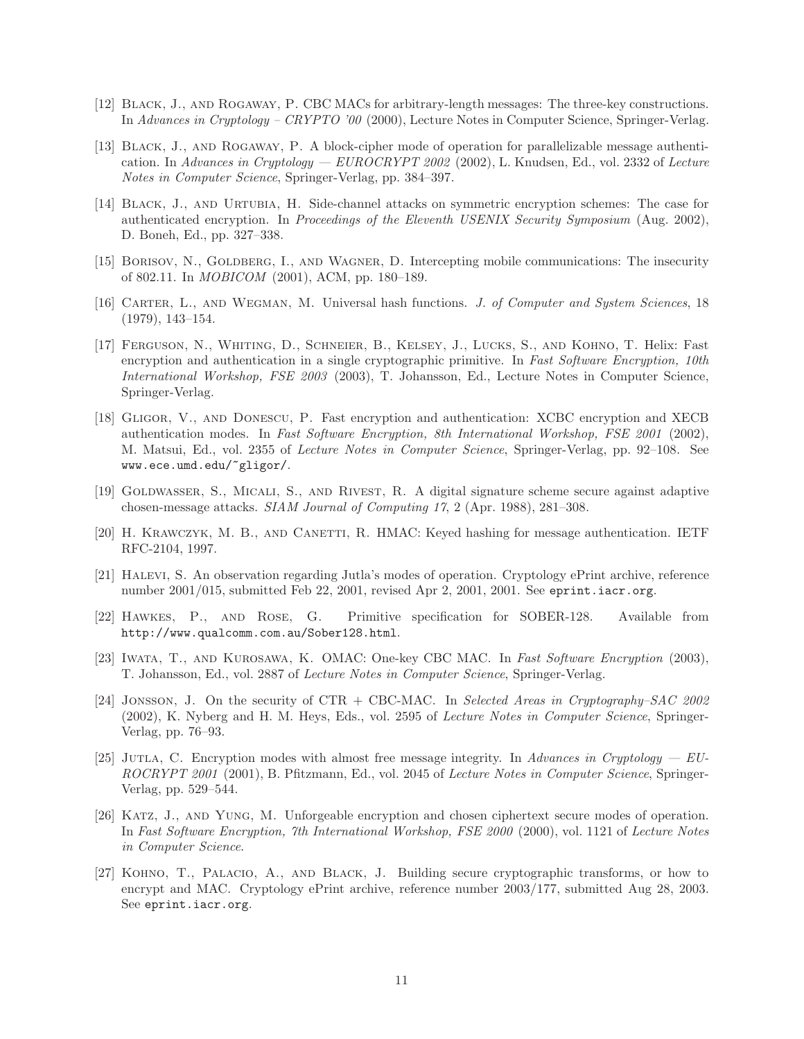- [12] Black, J., and Rogaway, P. CBC MACs for arbitrary-length messages: The three-key constructions. In *Advances in Cryptology – CRYPTO '00* (2000), Lecture Notes in Computer Science, Springer-Verlag.
- [13] Black, J., and Rogaway, P. A block-cipher mode of operation for parallelizable message authentication. In *Advances in Cryptology — EUROCRYPT 2002* (2002), L. Knudsen, Ed., vol. 2332 of *Lecture Notes in Computer Science*, Springer-Verlag, pp. 384–397.
- [14] Black, J., and Urtubia, H. Side-channel attacks on symmetric encryption schemes: The case for authenticated encryption. In *Proceedings of the Eleventh USENIX Security Symposium* (Aug. 2002), D. Boneh, Ed., pp. 327–338.
- [15] Borisov, N., Goldberg, I., and Wagner, D. Intercepting mobile communications: The insecurity of 802.11. In *MOBICOM* (2001), ACM, pp. 180–189.
- [16] Carter, L., and Wegman, M. Universal hash functions. *J. of Computer and System Sciences*, 18 (1979), 143–154.
- [17] Ferguson, N., Whiting, D., Schneier, B., Kelsey, J., Lucks, S., and Kohno, T. Helix: Fast encryption and authentication in a single cryptographic primitive. In *Fast Software Encryption, 10th International Workshop, FSE 2003* (2003), T. Johansson, Ed., Lecture Notes in Computer Science, Springer-Verlag.
- [18] Gligor, V., and Donescu, P. Fast encryption and authentication: XCBC encryption and XECB authentication modes. In *Fast Software Encryption, 8th International Workshop, FSE 2001* (2002), M. Matsui, Ed., vol. 2355 of *Lecture Notes in Computer Science*, Springer-Verlag, pp. 92–108. See www.ece.umd.edu/~gligor/.
- [19] Goldwasser, S., Micali, S., and Rivest, R. A digital signature scheme secure against adaptive chosen-message attacks. *SIAM Journal of Computing 17*, 2 (Apr. 1988), 281–308.
- [20] H. KRAWCZYK, M. B., AND CANETTI, R. HMAC: Keyed hashing for message authentication. IETF RFC-2104, 1997.
- [21] Halevi, S. An observation regarding Jutla's modes of operation. Cryptology ePrint archive, reference number 2001/015, submitted Feb 22, 2001, revised Apr 2, 2001, 2001. See eprint.iacr.org.
- [22] Hawkes, P., and Rose, G. Primitive specification for SOBER-128. Available from http://www.qualcomm.com.au/Sober128.html.
- [23] Iwata, T., and Kurosawa, K. OMAC: One-key CBC MAC. In *Fast Software Encryption* (2003), T. Johansson, Ed., vol. 2887 of *Lecture Notes in Computer Science*, Springer-Verlag.
- [24] Jonsson, J. On the security of CTR + CBC-MAC. In *Selected Areas in Cryptography–SAC 2002* (2002), K. Nyberg and H. M. Heys, Eds., vol. 2595 of *Lecture Notes in Computer Science*, Springer-Verlag, pp. 76–93.
- [25] Jutla, C. Encryption modes with almost free message integrity. In *Advances in Cryptology EU-ROCRYPT 2001* (2001), B. Pfitzmann, Ed., vol. 2045 of *Lecture Notes in Computer Science*, Springer-Verlag, pp. 529–544.
- [26] Katz, J., and Yung, M. Unforgeable encryption and chosen ciphertext secure modes of operation. In *Fast Software Encryption, 7th International Workshop, FSE 2000* (2000), vol. 1121 of *Lecture Notes in Computer Science*.
- [27] Kohno, T., Palacio, A., and Black, J. Building secure cryptographic transforms, or how to encrypt and MAC. Cryptology ePrint archive, reference number 2003/177, submitted Aug 28, 2003. See eprint.iacr.org.